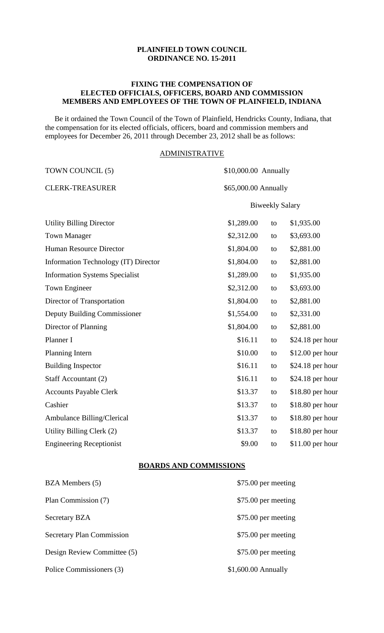# **PLAINFIELD TOWN COUNCIL ORDINANCE NO. 15-2011**

#### **FIXING THE COMPENSATION OF ELECTED OFFICIALS, OFFICERS, BOARD AND COMMISSION MEMBERS AND EMPLOYEES OF THE TOWN OF PLAINFIELD, INDIANA**

 Be it ordained the Town Council of the Town of Plainfield, Hendricks County, Indiana, that the compensation for its elected officials, officers, board and commission members and employees for December 26, 2011 through December 23, 2012 shall be as follows:

## ADMINISTRATIVE

| \$1,289.00 | to | \$1,935.00                                                             |
|------------|----|------------------------------------------------------------------------|
| \$2,312.00 | to | \$3,693.00                                                             |
| \$1,804.00 | to | \$2,881.00                                                             |
| \$1,804.00 | to | \$2,881.00                                                             |
| \$1,289.00 | to | \$1,935.00                                                             |
| \$2,312.00 | to | \$3,693.00                                                             |
| \$1,804.00 | to | \$2,881.00                                                             |
| \$1,554.00 | to | \$2,331.00                                                             |
| \$1,804.00 | to | \$2,881.00                                                             |
| \$16.11    | to | $$24.18$ per hour                                                      |
| \$10.00    | to | $$12.00$ per hour                                                      |
| \$16.11    | to | $$24.18$ per hour                                                      |
| \$16.11    | to | \$24.18 per hour                                                       |
| \$13.37    | to | \$18.80 per hour                                                       |
| \$13.37    | to | \$18.80 per hour                                                       |
| \$13.37    | to | \$18.80 per hour                                                       |
| \$13.37    | to | \$18.80 per hour                                                       |
| \$9.00     | to | $$11.00$ per hour                                                      |
|            |    | \$10,000.00 Annually<br>\$65,000.00 Annually<br><b>Biweekly Salary</b> |

#### **BOARDS AND COMMISSIONS**

| BZA Members (5)             | \$75.00 per meeting |
|-----------------------------|---------------------|
| Plan Commission (7)         | \$75.00 per meeting |
| <b>Secretary BZA</b>        | \$75.00 per meeting |
| Secretary Plan Commission   | \$75.00 per meeting |
| Design Review Committee (5) | \$75.00 per meeting |
| Police Commissioners (3)    | \$1,600.00 Annually |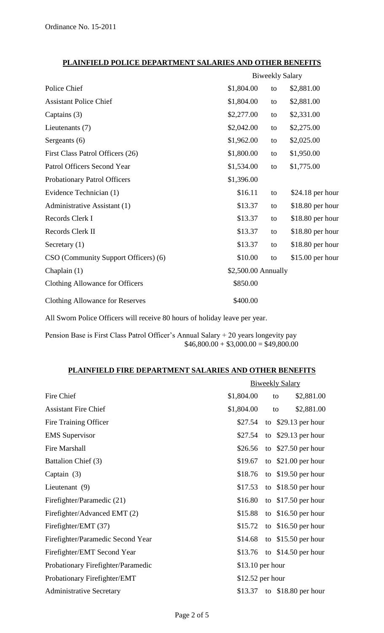# **PLAINFIELD POLICE DEPARTMENT SALARIES AND OTHER BENEFITS**

|                                        | <b>Biweekly Salary</b> |    |                   |
|----------------------------------------|------------------------|----|-------------------|
| Police Chief                           | \$1,804.00             | to | \$2,881.00        |
| <b>Assistant Police Chief</b>          | \$1,804.00             | to | \$2,881.00        |
| Captains (3)                           | \$2,277.00             | to | \$2,331.00        |
| Lieutenants (7)                        | \$2,042.00             | to | \$2,275.00        |
| Sergeants (6)                          | \$1,962.00             | to | \$2,025.00        |
| First Class Patrol Officers (26)       | \$1,800.00             | to | \$1,950.00        |
| Patrol Officers Second Year            | \$1,534.00             | to | \$1,775.00        |
| Probationary Patrol Officers           | \$1,396.00             |    |                   |
| Evidence Technician (1)                | \$16.11                | to | $$24.18$ per hour |
| Administrative Assistant (1)           | \$13.37                | to | \$18.80 per hour  |
| Records Clerk I                        | \$13.37                | to | \$18.80 per hour  |
| Records Clerk II                       | \$13.37                | to | \$18.80 per hour  |
| Secretary $(1)$                        | \$13.37                | to | \$18.80 per hour  |
| CSO (Community Support Officers) (6)   | \$10.00                | to | \$15.00 per hour  |
| Chaplain $(1)$                         | \$2,500.00 Annually    |    |                   |
| <b>Clothing Allowance for Officers</b> | \$850.00               |    |                   |
| <b>Clothing Allowance for Reserves</b> | \$400.00               |    |                   |
|                                        |                        |    |                   |

All Sworn Police Officers will receive 80 hours of holiday leave per year.

Pension Base is First Class Patrol Officer's Annual Salary + 20 years longevity pay  $$46,800.00 + $3,000.00 = $49,800.00$ 

# **PLAINFIELD FIRE DEPARTMENT SALARIES AND OTHER BENEFITS**

| \$1,804.00 | to | \$2,881.00                                                       |
|------------|----|------------------------------------------------------------------|
| \$1,804.00 | to | \$2,881.00                                                       |
| \$27.54    |    | to $$29.13$ per hour                                             |
| \$27.54    |    | to $$29.13$ per hour                                             |
| \$26.56    |    | to $$27.50$ per hour                                             |
| \$19.67    |    | to $$21.00$ per hour                                             |
| \$18.76    |    | to $$19.50$ per hour                                             |
| \$17.53    |    | to $$18.50$ per hour                                             |
| \$16.80    |    | to $$17.50$ per hour                                             |
| \$15.88    |    | to $$16.50$ per hour                                             |
| \$15.72    |    | to $$16.50$ per hour                                             |
| \$14.68    |    | to $$15.50$ per hour                                             |
| \$13.76    |    | to $$14.50$ per hour                                             |
|            |    |                                                                  |
|            |    |                                                                  |
| \$13.37    |    | to $$18.80$ per hour                                             |
|            |    | <b>Biweekly Salary</b><br>$$13.10$ per hour<br>$$12.52$ per hour |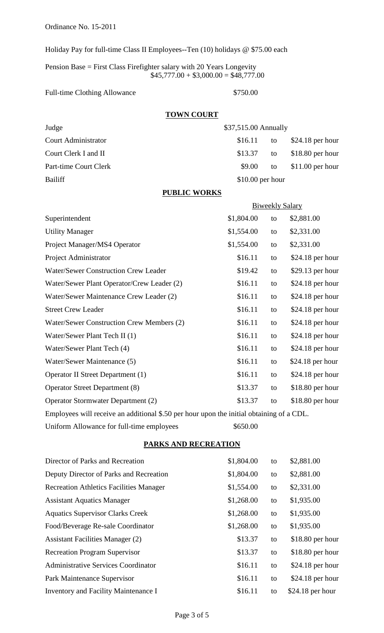Ordinance No. 15-2011

Holiday Pay for full-time Class II Employees--Ten (10) holidays @ \$75.00 each

Pension Base = First Class Firefighter salary with 20 Years Longevity  $$45,777.00 + $3,000.00 = $48,777.00$ 

#### Full-time Clothing Allowance \$750.00

### **TOWN COURT**

| Judge                      | \$37,515.00 Annually |    |                   |
|----------------------------|----------------------|----|-------------------|
| <b>Court Administrator</b> | \$16.11              | to | $$24.18$ per hour |
| Court Clerk I and II       | \$13.37              | to | $$18.80$ per hour |
| Part-time Court Clerk      | \$9.00               | to | $$11.00$ per hour |
| Bailiff                    | $$10.00$ per hour    |    |                   |
|                            |                      |    |                   |

# **PUBLIC WORKS**

|                                                                                                                                                                                                                                                                                                                     |            |    | <b>Biweekly Salary</b> |
|---------------------------------------------------------------------------------------------------------------------------------------------------------------------------------------------------------------------------------------------------------------------------------------------------------------------|------------|----|------------------------|
| Superintendent                                                                                                                                                                                                                                                                                                      | \$1,804.00 | to | \$2,881.00             |
| <b>Utility Manager</b>                                                                                                                                                                                                                                                                                              | \$1,554.00 | to | \$2,331.00             |
| Project Manager/MS4 Operator                                                                                                                                                                                                                                                                                        | \$1,554.00 | to | \$2,331.00             |
| Project Administrator                                                                                                                                                                                                                                                                                               | \$16.11    | to | $$24.18$ per hour      |
| <b>Water/Sewer Construction Crew Leader</b>                                                                                                                                                                                                                                                                         | \$19.42    | to | $$29.13$ per hour      |
| Water/Sewer Plant Operator/Crew Leader (2)                                                                                                                                                                                                                                                                          | \$16.11    | to | $$24.18$ per hour      |
| Water/Sewer Maintenance Crew Leader (2)                                                                                                                                                                                                                                                                             | \$16.11    | to | $$24.18$ per hour      |
| <b>Street Crew Leader</b>                                                                                                                                                                                                                                                                                           | \$16.11    | to | $$24.18$ per hour      |
| Water/Sewer Construction Crew Members (2)                                                                                                                                                                                                                                                                           | \$16.11    | to | $$24.18$ per hour      |
| Water/Sewer Plant Tech II (1)                                                                                                                                                                                                                                                                                       | \$16.11    | to | \$24.18 per hour       |
| Water/Sewer Plant Tech (4)                                                                                                                                                                                                                                                                                          | \$16.11    | to | $$24.18$ per hour      |
| Water/Sewer Maintenance (5)                                                                                                                                                                                                                                                                                         | \$16.11    | to | $$24.18$ per hour      |
| Operator II Street Department (1)                                                                                                                                                                                                                                                                                   | \$16.11    | to | $$24.18$ per hour      |
| <b>Operator Street Department (8)</b>                                                                                                                                                                                                                                                                               | \$13.37    | to | $$18.80$ per hour      |
| Operator Stormwater Department (2)                                                                                                                                                                                                                                                                                  | \$13.37    | to | $$18.80$ per hour      |
| $\mathbf{11}$ $\mathbf{12}$ $\mathbf{13}$ $\mathbf{14}$ $\mathbf{15}$ $\mathbf{17}$ $\mathbf{18}$ $\mathbf{18}$ $\mathbf{18}$ $\mathbf{18}$ $\mathbf{18}$ $\mathbf{18}$ $\mathbf{18}$ $\mathbf{18}$ $\mathbf{18}$ $\mathbf{18}$ $\mathbf{18}$ $\mathbf{18}$ $\mathbf{18}$ $\mathbf{18}$ $\mathbf{18}$ $\mathbf{18}$ |            |    | $c \sim$               |

Employees will receive an additional \$.50 per hour upon the initial obtaining of a CDL.

Uniform Allowance for full-time employees \$650.00

### **PARKS AND RECREATION**

| Director of Parks and Recreation               | \$1,804.00 | to | \$2,881.00        |
|------------------------------------------------|------------|----|-------------------|
| Deputy Director of Parks and Recreation        | \$1,804.00 | to | \$2,881.00        |
| <b>Recreation Athletics Facilities Manager</b> | \$1,554.00 | to | \$2,331.00        |
| <b>Assistant Aquatics Manager</b>              | \$1,268.00 | to | \$1,935.00        |
| <b>Aquatics Supervisor Clarks Creek</b>        | \$1,268.00 | to | \$1,935.00        |
| Food/Beverage Re-sale Coordinator              | \$1,268.00 | to | \$1,935.00        |
| <b>Assistant Facilities Manager (2)</b>        | \$13.37    | to | $$18.80$ per hour |
| <b>Recreation Program Supervisor</b>           | \$13.37    | to | $$18.80$ per hour |
| <b>Administrative Services Coordinator</b>     | \$16.11    | to | $$24.18$ per hour |
| Park Maintenance Supervisor                    | \$16.11    | to | $$24.18$ per hour |
| Inventory and Facility Maintenance I           | \$16.11    | to | $$24.18$ per hour |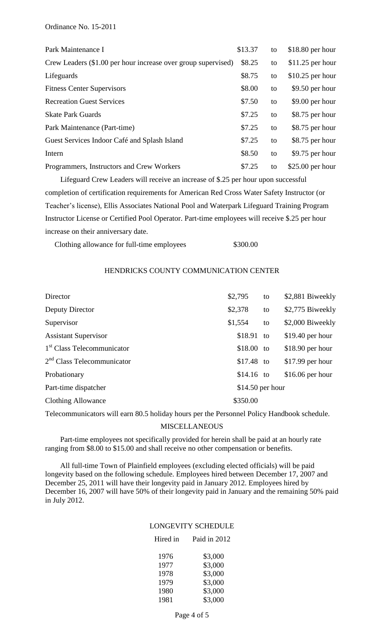| Park Maintenance I                                            | \$13.37 | to | $$18.80$ per hour |
|---------------------------------------------------------------|---------|----|-------------------|
| Crew Leaders (\$1.00 per hour increase over group supervised) | \$8.25  | to | $$11.25$ per hour |
| Lifeguards                                                    | \$8.75  | to | $$10.25$ per hour |
| <b>Fitness Center Supervisors</b>                             | \$8.00  | to | $$9.50$ per hour  |
| <b>Recreation Guest Services</b>                              | \$7.50  | to | \$9.00 per hour   |
| <b>Skate Park Guards</b>                                      | \$7.25  | to | \$8.75 per hour   |
| Park Maintenance (Part-time)                                  | \$7.25  | to | \$8.75 per hour   |
| Guest Services Indoor Café and Splash Island                  | \$7.25  | to | \$8.75 per hour   |
| Intern                                                        | \$8.50  | to | \$9.75 per hour   |
| Programmers, Instructors and Crew Workers                     | \$7.25  | to | $$25.00$ per hour |

 Lifeguard Crew Leaders will receive an increase of \$.25 per hour upon successful completion of certification requirements for American Red Cross Water Safety Instructor (or Teacher's license), Ellis Associates National Pool and Waterpark Lifeguard Training Program Instructor License or Certified Pool Operator. Part-time employees will receive \$.25 per hour increase on their anniversary date.

Clothing allowance for full-time employees \$300.00

#### HENDRICKS COUNTY COMMUNICATION CENTER

| Director                               | \$2,795           | to | \$2,881 Biweekly  |
|----------------------------------------|-------------------|----|-------------------|
| Deputy Director                        | \$2,378           | to | \$2,775 Biweekly  |
| Supervisor                             | \$1,554           | to | \$2,000 Biweekly  |
| <b>Assistant Supervisor</b>            | \$18.91           | to | $$19.40$ per hour |
| 1 <sup>st</sup> Class Telecommunicator | \$18.00           | to | $$18.90$ per hour |
| $2nd$ Class Telecommunicator           | $$17.48$ to       |    | $$17.99$ per hour |
| Probationary                           | $$14.16$ to       |    | $$16.06$ per hour |
| Part-time dispatcher                   | $$14.50$ per hour |    |                   |
| <b>Clothing Allowance</b>              | \$350.00          |    |                   |
|                                        |                   |    |                   |

Telecommunicators will earn 80.5 holiday hours per the Personnel Policy Handbook schedule.

#### MISCELLANEOUS

 Part-time employees not specifically provided for herein shall be paid at an hourly rate ranging from \$8.00 to \$15.00 and shall receive no other compensation or benefits.

 All full-time Town of Plainfield employees (excluding elected officials) will be paid longevity based on the following schedule. Employees hired between December 17, 2007 and December 25, 2011 will have their longevity paid in January 2012. Employees hired by December 16, 2007 will have 50% of their longevity paid in January and the remaining 50% paid in July 2012.

### LONGEVITY SCHEDULE

# Hired in Paid in 2012

| 1976 | \$3,000 |
|------|---------|
| 1977 | \$3,000 |
| 1978 | \$3,000 |
| 1979 | \$3,000 |
| 1980 | \$3,000 |
| 1981 | \$3,000 |